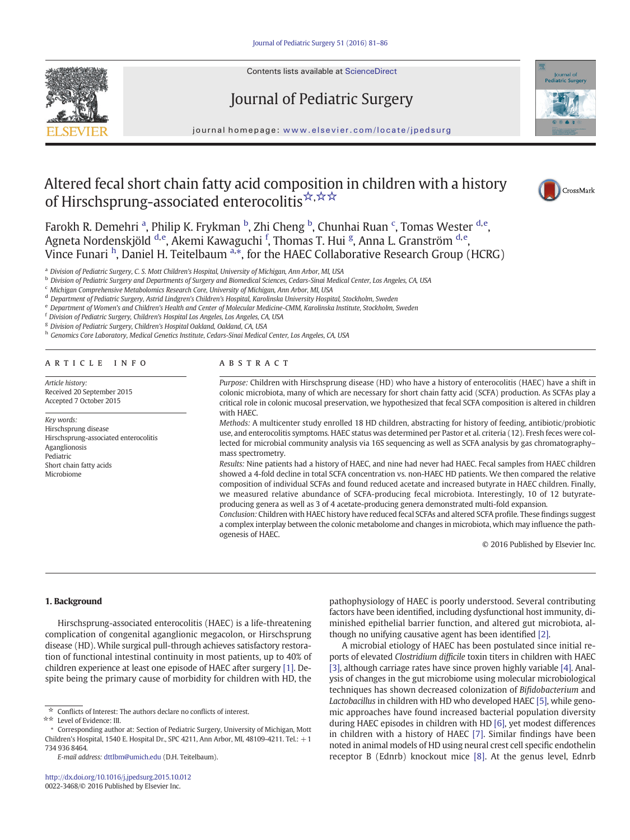

Contents lists available at [ScienceDirect](http://www.sciencedirect.com/science/journal/)

# Journal of Pediatric Surgery



journal homepage: www.elsevier.com/locate/jpedsurg

# Altered fecal short chain fatty acid composition in children with a history of Hirschsprung-associated enterocolitis<sup>☆,☆☆</sup>



Farokh R. Demehri <sup>a</sup>, Philip K. Frykman <sup>b</sup>, Zhi Cheng <sup>b</sup>, Chunhai Ruan <sup>c</sup>, Tomas Wester <sup>d,e</sup>, Agneta Nordenskjöld <sup>d,e</sup>, Akemi Kawaguchi <sup>f</sup>, Thomas T. Hui <sup>g</sup>, Anna L. Granström <sup>d,e</sup>, Vince Funari <sup>h</sup>, Daniel H. Teitelbaum <sup>a,\*</sup>, for the HAEC Collaborative Research Group (HCRG)

a Division of Pediatric Surgery, C. S. Mott Children's Hospital, University of Michigan, Ann Arbor, MI, USA

**b** Division of Pediatric Surgery and Departments of Surgery and Biomedical Sciences, Cedars-Sinai Medical Center, Los Angeles, CA, USA

 $\text{c}$  Michigan Comprehensive Metabolomics Research Core, University of Michigan, Ann Arbor, MI, USA

<sup>d</sup> Department of Pediatric Surgery, Astrid Lindgren's Children's Hospital, Karolinska University Hospital, Stockholm, Sweden

<sup>e</sup> Department of Women's and Children's Health and Center of Molecular Medicine-CMM, Karolinska Institute, Stockholm, Sweden

<sup>f</sup> Division of Pediatric Surgery, Children's Hospital Los Angeles, Los Angeles, CA, USA

<sup>g</sup> Division of Pediatric Surgery, Children's Hospital Oakland, Oakland, CA, USA

h Genomics Core Laboratory, Medical Genetics Institute, Cedars-Sinai Medical Center, Los Angeles, CA, USA

# article info abstract

Article history: Received 20 September 2015 Accepted 7 October 2015

Key words: Hirschsprung disease Hirschsprung-associated enterocolitis Aganglionosis Pediatric Short chain fatty acids Microbiome

Purpose: Children with Hirschsprung disease (HD) who have a history of enterocolitis (HAEC) have a shift in colonic microbiota, many of which are necessary for short chain fatty acid (SCFA) production. As SCFAs play a critical role in colonic mucosal preservation, we hypothesized that fecal SCFA composition is altered in children with HAEC.

Methods: A multicenter study enrolled 18 HD children, abstracting for history of feeding, antibiotic/probiotic use, and enterocolitis symptoms. HAEC status was determined per Pastor et al. criteria (12). Fresh feces were collected for microbial community analysis via 16S sequencing as well as SCFA analysis by gas chromatography– mass spectrometry.

Results: Nine patients had a history of HAEC, and nine had never had HAEC. Fecal samples from HAEC children showed a 4-fold decline in total SCFA concentration vs. non-HAEC HD patients. We then compared the relative composition of individual SCFAs and found reduced acetate and increased butyrate in HAEC children. Finally, we measured relative abundance of SCFA-producing fecal microbiota. Interestingly, 10 of 12 butyrateproducing genera as well as 3 of 4 acetate-producing genera demonstrated multi-fold expansion.

Conclusion: Children with HAEC history have reduced fecal SCFAs and altered SCFA profile. These findings suggest a complex interplay between the colonic metabolome and changes in microbiota, which may influence the pathogenesis of HAEC.

© 2016 Published by Elsevier Inc.

# 1. Background

Hirschsprung-associated enterocolitis (HAEC) is a life-threatening complication of congenital aganglionic megacolon, or Hirschsprung disease (HD). While surgical pull-through achieves satisfactory restoration of functional intestinal continuity in most patients, up to 40% of children experience at least one episode of HAEC after surgery [\[1\].](#page-5-0) Despite being the primary cause of morbidity for children with HD, the

☆☆ Level of Evidence: III.

E-mail address: [dttlbm@umich.edu](mailto:dttlbm@umich.edu) (D.H. Teitelbaum).

pathophysiology of HAEC is poorly understood. Several contributing factors have been identified, including dysfunctional host immunity, diminished epithelial barrier function, and altered gut microbiota, although no unifying causative agent has been identified [\[2\]](#page-5-0).

A microbial etiology of HAEC has been postulated since initial reports of elevated Clostridium difficile toxin titers in children with HAEC [\[3\]](#page-5-0), although carriage rates have since proven highly variable [\[4\].](#page-5-0) Analysis of changes in the gut microbiome using molecular microbiological techniques has shown decreased colonization of Bifidobacterium and Lactobacillus in children with HD who developed HAEC [\[5\],](#page-5-0) while genomic approaches have found increased bacterial population diversity during HAEC episodes in children with HD [\[6\],](#page-5-0) yet modest differences in children with a history of HAEC [\[7\].](#page-5-0) Similar findings have been noted in animal models of HD using neural crest cell specific endothelin receptor B (Ednrb) knockout mice [\[8\]](#page-5-0). At the genus level, Ednrb

<sup>☆</sup> Conflicts of Interest: The authors declare no conflicts of interest.

<sup>⁎</sup> Corresponding author at: Section of Pediatric Surgery, University of Michigan, Mott Children's Hospital, 1540 E. Hospital Dr., SPC 4211, Ann Arbor, MI, 48109-4211. Tel.: +1 734 936 8464.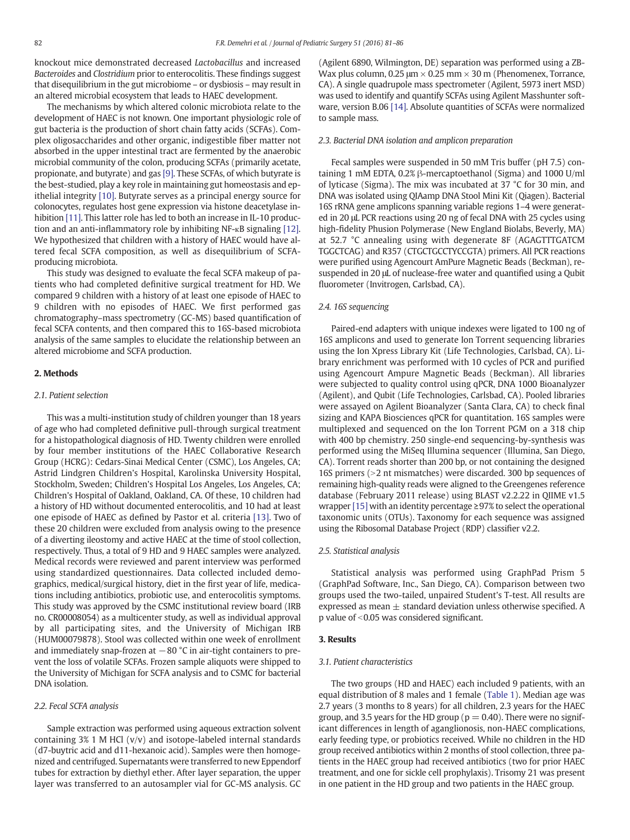knockout mice demonstrated decreased Lactobacillus and increased Bacteroides and Clostridium prior to enterocolitis. These findings suggest that disequilibrium in the gut microbiome – or dysbiosis – may result in an altered microbial ecosystem that leads to HAEC development.

The mechanisms by which altered colonic microbiota relate to the development of HAEC is not known. One important physiologic role of gut bacteria is the production of short chain fatty acids (SCFAs). Complex oligosaccharides and other organic, indigestible fiber matter not absorbed in the upper intestinal tract are fermented by the anaerobic microbial community of the colon, producing SCFAs (primarily acetate, propionate, and butyrate) and gas [\[9\]](#page-5-0). These SCFAs, of which butyrate is the best-studied, play a key role in maintaining gut homeostasis and epithelial integrity [\[10\].](#page-5-0) Butyrate serves as a principal energy source for colonocytes, regulates host gene expression via histone deacetylase in-hibition [\[11\]](#page-5-0). This latter role has led to both an increase in IL-10 production and an anti-inflammatory role by inhibiting NF-ĸB signaling [\[12\].](#page-5-0) We hypothesized that children with a history of HAEC would have altered fecal SCFA composition, as well as disequilibrium of SCFAproducing microbiota.

This study was designed to evaluate the fecal SCFA makeup of patients who had completed definitive surgical treatment for HD. We compared 9 children with a history of at least one episode of HAEC to 9 children with no episodes of HAEC. We first performed gas chromatography–mass spectrometry (GC-MS) based quantification of fecal SCFA contents, and then compared this to 16S-based microbiota analysis of the same samples to elucidate the relationship between an altered microbiome and SCFA production.

# 2. Methods

# 2.1. Patient selection

This was a multi-institution study of children younger than 18 years of age who had completed definitive pull-through surgical treatment for a histopathological diagnosis of HD. Twenty children were enrolled by four member institutions of the HAEC Collaborative Research Group (HCRG): Cedars-Sinai Medical Center (CSMC), Los Angeles, CA; Astrid Lindgren Children's Hospital, Karolinska University Hospital, Stockholm, Sweden; Children's Hospital Los Angeles, Los Angeles, CA; Children's Hospital of Oakland, Oakland, CA. Of these, 10 children had a history of HD without documented enterocolitis, and 10 had at least one episode of HAEC as defined by Pastor et al. criteria [\[13\].](#page-5-0) Two of these 20 children were excluded from analysis owing to the presence of a diverting ileostomy and active HAEC at the time of stool collection, respectively. Thus, a total of 9 HD and 9 HAEC samples were analyzed. Medical records were reviewed and parent interview was performed using standardized questionnaires. Data collected included demographics, medical/surgical history, diet in the first year of life, medications including antibiotics, probiotic use, and enterocolitis symptoms. This study was approved by the CSMC institutional review board (IRB no. CR00008054) as a multicenter study, as well as individual approval by all participating sites, and the University of Michigan IRB (HUM00079878). Stool was collected within one week of enrollment and immediately snap-frozen at  $-80$  °C in air-tight containers to prevent the loss of volatile SCFAs. Frozen sample aliquots were shipped to the University of Michigan for SCFA analysis and to CSMC for bacterial DNA isolation.

# 2.2. Fecal SCFA analysis

Sample extraction was performed using aqueous extraction solvent containing 3% 1 M HCl (v/v) and isotope-labeled internal standards (d7-buytric acid and d11-hexanoic acid). Samples were then homogenized and centrifuged. Supernatants were transferred to new Eppendorf tubes for extraction by diethyl ether. After layer separation, the upper layer was transferred to an autosampler vial for GC-MS analysis. GC

(Agilent 6890, Wilmington, DE) separation was performed using a ZB-Wax plus column, 0.25  $\mu$ m  $\times$  0.25 mm  $\times$  30 m (Phenomenex, Torrance, CA). A single quadrupole mass spectrometer (Agilent, 5973 inert MSD) was used to identify and quantify SCFAs using Agilent Masshunter software, version B.06 [\[14\].](#page-5-0) Absolute quantities of SCFAs were normalized to sample mass.

# 2.3. Bacterial DNA isolation and amplicon preparation

Fecal samples were suspended in 50 mM Tris buffer (pH 7.5) containing 1 mM EDTA, 0.2% β-mercaptoethanol (Sigma) and 1000 U/ml of lyticase (Sigma). The mix was incubated at 37 °C for 30 min, and DNA was isolated using QIAamp DNA Stool Mini Kit (Qiagen). Bacterial 16S rRNA gene amplicons spanning variable regions 1–4 were generated in 20 μL PCR reactions using 20 ng of fecal DNA with 25 cycles using high-fidelity Phusion Polymerase (New England Biolabs, Beverly, MA) at 52.7 °C annealing using with degenerate 8F (AGAGTTTGATCM TGGCTCAG) and R357 (CTGCTGCCTYCCGTA) primers. All PCR reactions were purified using Agencourt AmPure Magnetic Beads (Beckman), resuspended in 20 μL of nuclease-free water and quantified using a Qubit fluorometer (Invitrogen, Carlsbad, CA).

# 2.4. 16S sequencing

Paired-end adapters with unique indexes were ligated to 100 ng of 16S amplicons and used to generate Ion Torrent sequencing libraries using the Ion Xpress Library Kit (Life Technologies, Carlsbad, CA). Library enrichment was performed with 10 cycles of PCR and purified using Agencourt Ampure Magnetic Beads (Beckman). All libraries were subjected to quality control using qPCR, DNA 1000 Bioanalyzer (Agilent), and Qubit (Life Technologies, Carlsbad, CA). Pooled libraries were assayed on Agilent Bioanalyzer (Santa Clara, CA) to check final sizing and KAPA Biosciences qPCR for quantitation. 16S samples were multiplexed and sequenced on the Ion Torrent PGM on a 318 chip with 400 bp chemistry. 250 single-end sequencing-by-synthesis was performed using the MiSeq Illumina sequencer (Illumina, San Diego, CA). Torrent reads shorter than 200 bp, or not containing the designed 16S primers (>2 nt mismatches) were discarded. 300 bp sequences of remaining high-quality reads were aligned to the Greengenes reference database (February 2011 release) using BLAST v2.2.22 in QIIME v1.5 wrapper [\[15\]](#page-5-0) with an identity percentage ≥97% to select the operational taxonomic units (OTUs). Taxonomy for each sequence was assigned using the Ribosomal Database Project (RDP) classifier v2.2.

#### 2.5. Statistical analysis

Statistical analysis was performed using GraphPad Prism 5 (GraphPad Software, Inc., San Diego, CA). Comparison between two groups used the two-tailed, unpaired Student's T-test. All results are expressed as mean  $\pm$  standard deviation unless otherwise specified. A p value of  $<$ 0.05 was considered significant.

# 3. Results

### 3.1. Patient characteristics

The two groups (HD and HAEC) each included 9 patients, with an equal distribution of 8 males and 1 female [\(Table 1](#page-2-0)). Median age was 2.7 years (3 months to 8 years) for all children, 2.3 years for the HAEC group, and 3.5 years for the HD group ( $p = 0.40$ ). There were no significant differences in length of aganglionosis, non-HAEC complications, early feeding type, or probiotics received. While no children in the HD group received antibiotics within 2 months of stool collection, three patients in the HAEC group had received antibiotics (two for prior HAEC treatment, and one for sickle cell prophylaxis). Trisomy 21 was present in one patient in the HD group and two patients in the HAEC group.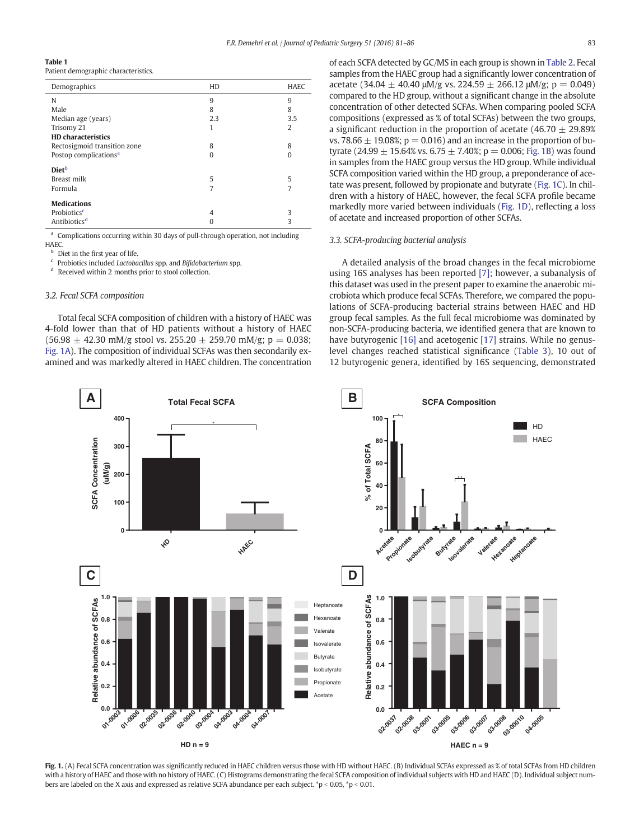# <span id="page-2-0"></span>Table 1

Patient demographic characteristics.

| Demographics                      | HD  | <b>HAEC</b>    |
|-----------------------------------|-----|----------------|
| N                                 | 9   | 9              |
| Male                              | 8   | 8              |
| Median age (years)                | 2.3 | 3.5            |
| Trisomy 21                        | 1   | $\overline{2}$ |
| <b>HD</b> characteristics         |     |                |
| Rectosigmoid transition zone      | 8   | 8              |
| Postop complications <sup>a</sup> | O   | $\Omega$       |
| Diet <sup>b</sup>                 |     |                |
| <b>Breast milk</b>                | 5   | 5              |
| Formula                           | 7   | 7              |
|                                   |     |                |
| <b>Medications</b>                |     |                |
| Probiotics <sup>c</sup>           | 4   | 3              |
| Antibiotics <sup>d</sup>          |     | 3              |
|                                   |     |                |

Complications occurring within 30 days of pull-through operation, not including **HAEC** 

Diet in the first year of life.

 $\frac{c}{c}$  Probiotics included *Lactobacillus* spp. and *Bifidobacterium* spp.

Received within 2 months prior to stool collection.

# 3.2. Fecal SCFA composition

Total fecal SCFA composition of children with a history of HAEC was 4-fold lower than that of HD patients without a history of HAEC  $(56.98 \pm 42.30 \text{ mM/g}$  stool vs. 255.20  $\pm$  259.70 mM/g; p = 0.038; Fig. 1A). The composition of individual SCFAs was then secondarily examined and was markedly altered in HAEC children. The concentration

of each SCFA detected by GC/MS in each group is shown in [Table 2](#page-3-0). Fecal samples from the HAEC group had a significantly lower concentration of acetate (34.04  $\pm$  40.40 μM/g vs. 224.59  $\pm$  266.12 μM/g; p = 0.049) compared to the HD group, without a significant change in the absolute concentration of other detected SCFAs. When comparing pooled SCFA compositions (expressed as % of total SCFAs) between the two groups, a significant reduction in the proportion of acetate (46.70  $\pm$  29.89%) vs. 78.66  $\pm$  19.08%; p = 0.016) and an increase in the proportion of butyrate (24.99  $\pm$  15.64% vs. 6.75  $\pm$  7.40%; p = 0.006; Fig. 1B) was found in samples from the HAEC group versus the HD group. While individual SCFA composition varied within the HD group, a preponderance of acetate was present, followed by propionate and butyrate (Fig. 1C). In children with a history of HAEC, however, the fecal SCFA profile became markedly more varied between individuals (Fig. 1D), reflecting a loss of acetate and increased proportion of other SCFAs.

### 3.3. SCFA-producing bacterial analysis

A detailed analysis of the broad changes in the fecal microbiome using 16S analyses has been reported [\[7\];](#page-5-0) however, a subanalysis of this dataset was used in the present paper to examine the anaerobic microbiota which produce fecal SCFAs. Therefore, we compared the populations of SCFA-producing bacterial strains between HAEC and HD group fecal samples. As the full fecal microbiome was dominated by non-SCFA-producing bacteria, we identified genera that are known to have butyrogenic [\[16\]](#page-5-0) and acetogenic [\[17\]](#page-5-0) strains. While no genuslevel changes reached statistical significance ([Table 3](#page-3-0)), 10 out of 12 butyrogenic genera, identified by 16S sequencing, demonstrated



Fig. 1. (A) Fecal SCFA concentration was significantly reduced in HAEC children versus those with HD without HAEC. (B) Individual SCFAs expressed as % of total SCFAs from HD children with a history of HAEC and those with no history of HAEC. (C) Histograms demonstrating the fecal SCFA composition of individual subjects with HD and HAEC (D). Individual subject numbers are labeled on the X axis and expressed as relative SCFA abundance per each subject. \*p < 0.05, \*p < 0.01.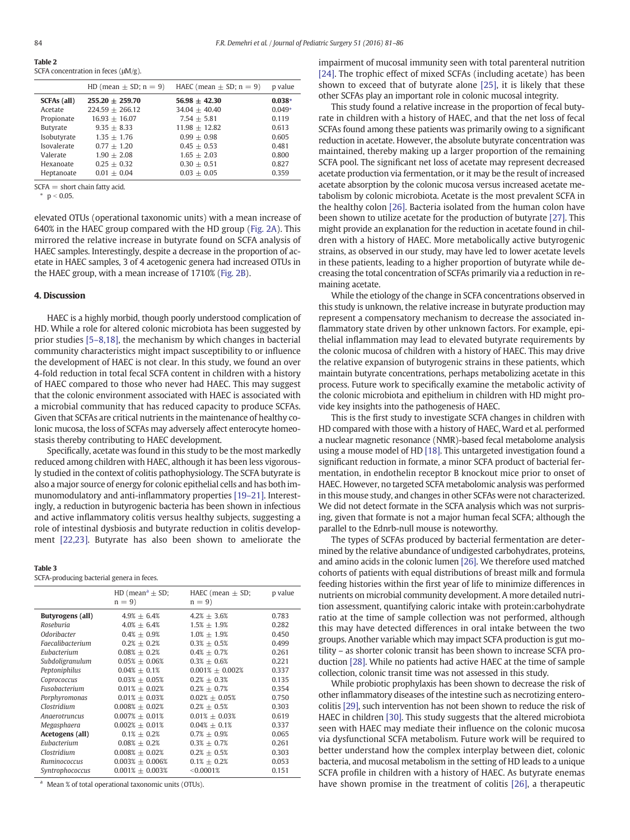<span id="page-3-0"></span>

| $\cdots$                                  |  |
|-------------------------------------------|--|
| SCFA concentration in feces $(\mu M/g)$ . |  |

|             | HD (mean $\pm$ SD; n = 9) | HAEC (mean $\pm$ SD; n = 9) | p value  |
|-------------|---------------------------|-----------------------------|----------|
| SCFAs (all) | $255.20 \pm 259.70$       | $56.98 \pm 42.30$           | $0.038*$ |
| Acetate     | $224.59 + 266.12$         | $34.04 + 40.40$             | $0.049*$ |
| Propionate  | $16.93 + 16.07$           | $7.54 + 5.81$               | 0.119    |
| Butyrate    | $9.35 + 8.33$             | $11.98 + 12.82$             | 0.613    |
| Isobutyrate | $1.35 + 1.76$             | $0.99 + 0.98$               | 0.605    |
| Isovalerate | $0.77 + 1.20$             | $0.45 + 0.53$               | 0.481    |
| Valerate    | $1.90 + 2.08$             | $1.65 + 2.03$               | 0.800    |
| Hexanoate   | $0.25 + 0.32$             | $0.30 + 0.51$               | 0.827    |
| Heptanoate  | $0.01 + 0.04$             | $0.03 + 0.05$               | 0.359    |

 $SCFA = short chain fatty acid.$ 

 $p < 0.05$ .

elevated OTUs (operational taxonomic units) with a mean increase of 640% in the HAEC group compared with the HD group [\(Fig. 2A\)](#page-4-0). This mirrored the relative increase in butyrate found on SCFA analysis of HAEC samples. Interestingly, despite a decrease in the proportion of acetate in HAEC samples, 3 of 4 acetogenic genera had increased OTUs in the HAEC group, with a mean increase of 1710% [\(Fig. 2B](#page-4-0)).

# 4. Discussion

HAEC is a highly morbid, though poorly understood complication of HD. While a role for altered colonic microbiota has been suggested by prior studies [5–[8,18\],](#page-5-0) the mechanism by which changes in bacterial community characteristics might impact susceptibility to or influence the development of HAEC is not clear. In this study, we found an over 4-fold reduction in total fecal SCFA content in children with a history of HAEC compared to those who never had HAEC. This may suggest that the colonic environment associated with HAEC is associated with a microbial community that has reduced capacity to produce SCFAs. Given that SCFAs are critical nutrients in the maintenance of healthy colonic mucosa, the loss of SCFAs may adversely affect enterocyte homeostasis thereby contributing to HAEC development.

Specifically, acetate was found in this study to be the most markedly reduced among children with HAEC, although it has been less vigorously studied in the context of colitis pathophysiology. The SCFA butyrate is also a major source of energy for colonic epithelial cells and has both immunomodulatory and anti-inflammatory properties [19–[21\].](#page-5-0) Interestingly, a reduction in butyrogenic bacteria has been shown in infectious and active inflammatory colitis versus healthy subjects, suggesting a role of intestinal dysbiosis and butyrate reduction in colitis development [\[22,23\].](#page-5-0) Butyrate has also been shown to ameliorate the

#### Table 3

SCFA-producing bacterial genera in feces.

|                  | HD (mean <sup>a</sup> $\pm$ SD;<br>$n = 9$ | HAEC (mean $\pm$ SD;<br>$n = 9$ | p value |
|------------------|--------------------------------------------|---------------------------------|---------|
| Butyrogens (all) | $4.9% + 6.4%$                              | $4.2% + 3.6%$                   | 0.783   |
| Roseburia        | $4.0\% \pm 6.4\%$                          | $1.5\% \pm 1.9\%$               | 0.282   |
| Odoribacter      | $0.4\% + 0.9\%$                            | $1.0\% + 1.9\%$                 | 0.450   |
| Faecalibacterium | $0.2\% \pm 0.2\%$                          | $0.3\% \pm 0.5\%$               | 0.499   |
| Eubacterium      | $0.08\% \pm 0.2\%$                         | $0.4\% \pm 0.7\%$               | 0.261   |
| Subdoligranulum  | $0.05\% + 0.06\%$                          | $0.3% + 0.6%$                   | 0.221   |
| Peptoniphilus    | $0.04\% \pm 0.1\%$                         | $0.001\% \pm 0.002\%$           | 0.337   |
| Coprococcus      | $0.03\% \pm 0.05\%$                        | $0.2% \pm 0.3%$                 | 0.135   |
| Fusobacterium    | $0.01\% \pm 0.02\%$                        | $0.2% \pm 0.7%$                 | 0.354   |
| Porphyromonas    | $0.01\% + 0.03\%$                          | $0.02\% + 0.05\%$               | 0.750   |
| Clostridium      | $0.008\% + 0.02\%$                         | $0.2% + 0.5%$                   | 0.303   |
| Anaerotruncus    | $0.007\% + 0.01\%$                         | $0.01\% + 0.03\%$               | 0.619   |
| Megasphaera      | $0.002\% \pm 0.01\%$                       | $0.04\% + 0.1\%$                | 0.337   |
| Acetogens (all)  | $0.1\% \pm 0.2\%$                          | $0.7\% \pm 0.9\%$               | 0.065   |
| Eubacterium      | $0.08\% \pm 0.2\%$                         | $0.3\% \pm 0.7\%$               | 0.261   |
| Clostridium      | $0.008\% + 0.02\%$                         | $0.2% \pm 0.5%$                 | 0.303   |
| Ruminococcus     | $0.003% + 0.006%$                          | $0.1\% \pm 0.2\%$               | 0.053   |
| Syntrophococcus  | $0.001\% + 0.003\%$                        | < 0.0001%                       | 0.151   |

Mean % of total operational taxonomic units (OTUs).

impairment of mucosal immunity seen with total parenteral nutrition [\[24\]](#page-5-0). The trophic effect of mixed SCFAs (including acetate) has been shown to exceed that of butyrate alone [\[25\]](#page-5-0), it is likely that these other SCFAs play an important role in colonic mucosal integrity.

This study found a relative increase in the proportion of fecal butyrate in children with a history of HAEC, and that the net loss of fecal SCFAs found among these patients was primarily owing to a significant reduction in acetate. However, the absolute butyrate concentration was maintained, thereby making up a larger proportion of the remaining SCFA pool. The significant net loss of acetate may represent decreased acetate production via fermentation, or it may be the result of increased acetate absorption by the colonic mucosa versus increased acetate metabolism by colonic microbiota. Acetate is the most prevalent SCFA in the healthy colon [\[26\].](#page-5-0) Bacteria isolated from the human colon have been shown to utilize acetate for the production of butyrate [\[27\].](#page-5-0) This might provide an explanation for the reduction in acetate found in children with a history of HAEC. More metabolically active butyrogenic strains, as observed in our study, may have led to lower acetate levels in these patients, leading to a higher proportion of butyrate while decreasing the total concentration of SCFAs primarily via a reduction in remaining acetate.

While the etiology of the change in SCFA concentrations observed in this study is unknown, the relative increase in butyrate production may represent a compensatory mechanism to decrease the associated inflammatory state driven by other unknown factors. For example, epithelial inflammation may lead to elevated butyrate requirements by the colonic mucosa of children with a history of HAEC. This may drive the relative expansion of butyrogenic strains in these patients, which maintain butyrate concentrations, perhaps metabolizing acetate in this process. Future work to specifically examine the metabolic activity of the colonic microbiota and epithelium in children with HD might provide key insights into the pathogenesis of HAEC.

This is the first study to investigate SCFA changes in children with HD compared with those with a history of HAEC, Ward et al. performed a nuclear magnetic resonance (NMR)-based fecal metabolome analysis using a mouse model of HD [\[18\].](#page-5-0) This untargeted investigation found a significant reduction in formate, a minor SCFA product of bacterial fermentation, in endothelin receptor B knockout mice prior to onset of HAEC. However, no targeted SCFA metabolomic analysis was performed in this mouse study, and changes in other SCFAs were not characterized. We did not detect formate in the SCFA analysis which was not surprising, given that formate is not a major human fecal SCFA; although the parallel to the Ednrb-null mouse is noteworthy.

The types of SCFAs produced by bacterial fermentation are determined by the relative abundance of undigested carbohydrates, proteins, and amino acids in the colonic lumen [\[26\].](#page-5-0) We therefore used matched cohorts of patients with equal distributions of breast milk and formula feeding histories within the first year of life to minimize differences in nutrients on microbial community development. A more detailed nutrition assessment, quantifying caloric intake with protein:carbohydrate ratio at the time of sample collection was not performed, although this may have detected differences in oral intake between the two groups. Another variable which may impact SCFA production is gut motility – as shorter colonic transit has been shown to increase SCFA production [\[28\]](#page-5-0). While no patients had active HAEC at the time of sample collection, colonic transit time was not assessed in this study.

While probiotic prophylaxis has been shown to decrease the risk of other inflammatory diseases of the intestine such as necrotizing enterocolitis [\[29\],](#page-5-0) such intervention has not been shown to reduce the risk of HAEC in children [\[30\].](#page-5-0) This study suggests that the altered microbiota seen with HAEC may mediate their influence on the colonic mucosa via dysfunctional SCFA metabolism. Future work will be required to better understand how the complex interplay between diet, colonic bacteria, and mucosal metabolism in the setting of HD leads to a unique SCFA profile in children with a history of HAEC. As butyrate enemas have shown promise in the treatment of colitis [\[26\]](#page-5-0), a therapeutic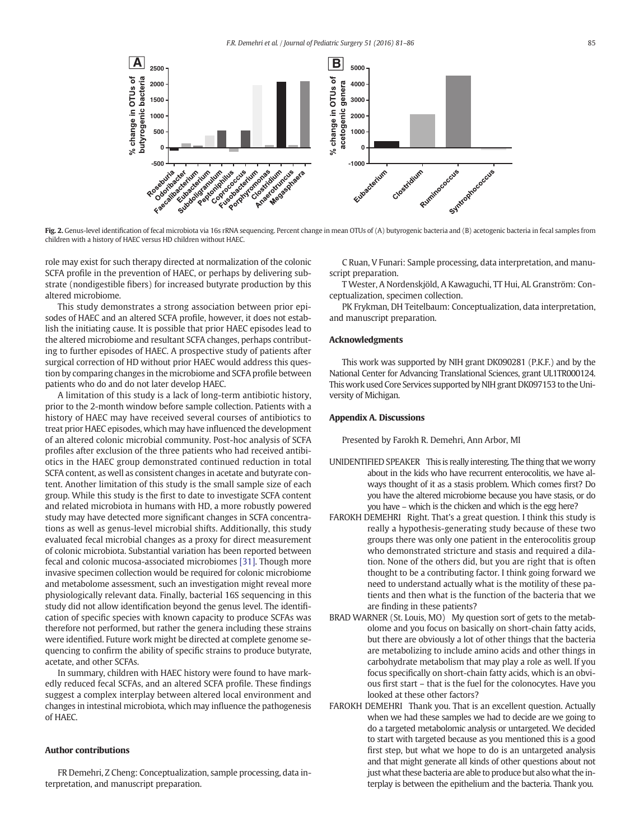<span id="page-4-0"></span>

Fig. 2. Genus-level identification of fecal microbiota via 16s rRNA sequencing. Percent change in mean OTUs of (A) butyrogenic bacteria and (B) acetogenic bacteria in fecal samples from children with a history of HAEC versus HD children without HAEC.

role may exist for such therapy directed at normalization of the colonic SCFA profile in the prevention of HAEC, or perhaps by delivering substrate (nondigestible fibers) for increased butyrate production by this altered microbiome.

This study demonstrates a strong association between prior episodes of HAEC and an altered SCFA profile, however, it does not establish the initiating cause. It is possible that prior HAEC episodes lead to the altered microbiome and resultant SCFA changes, perhaps contributing to further episodes of HAEC. A prospective study of patients after surgical correction of HD without prior HAEC would address this question by comparing changes in the microbiome and SCFA profile between patients who do and do not later develop HAEC.

A limitation of this study is a lack of long-term antibiotic history, prior to the 2-month window before sample collection. Patients with a history of HAEC may have received several courses of antibiotics to treat prior HAEC episodes, which may have influenced the development of an altered colonic microbial community. Post-hoc analysis of SCFA profiles after exclusion of the three patients who had received antibiotics in the HAEC group demonstrated continued reduction in total SCFA content, as well as consistent changes in acetate and butyrate content. Another limitation of this study is the small sample size of each group. While this study is the first to date to investigate SCFA content and related microbiota in humans with HD, a more robustly powered study may have detected more significant changes in SCFA concentrations as well as genus-level microbial shifts. Additionally, this study evaluated fecal microbial changes as a proxy for direct measurement of colonic microbiota. Substantial variation has been reported between fecal and colonic mucosa-associated microbiomes [\[31\].](#page-5-0) Though more invasive specimen collection would be required for colonic microbiome and metabolome assessment, such an investigation might reveal more physiologically relevant data. Finally, bacterial 16S sequencing in this study did not allow identification beyond the genus level. The identification of specific species with known capacity to produce SCFAs was therefore not performed, but rather the genera including these strains were identified. Future work might be directed at complete genome sequencing to confirm the ability of specific strains to produce butyrate, acetate, and other SCFAs.

In summary, children with HAEC history were found to have markedly reduced fecal SCFAs, and an altered SCFA profile. These findings suggest a complex interplay between altered local environment and changes in intestinal microbiota, which may influence the pathogenesis of HAEC.

# Author contributions

FR Demehri, Z Cheng: Conceptualization, sample processing, data interpretation, and manuscript preparation.

C Ruan, V Funari: Sample processing, data interpretation, and manuscript preparation.

T Wester, A Nordenskjöld, A Kawaguchi, TT Hui, AL Granström: Conceptualization, specimen collection.

PK Frykman, DH Teitelbaum: Conceptualization, data interpretation, and manuscript preparation.

# Acknowledgments

This work was supported by NIH grant DK090281 (P.K.F.) and by the National Center for Advancing Translational Sciences, grant UL1TR000124. This work used Core Services supported by NIH grant DK097153 to the University of Michigan.

# Appendix A. Discussions

Presented by Farokh R. Demehri, Ann Arbor, MI

- UNIDENTIFIED SPEAKER This is really interesting. The thing that we worry about in the kids who have recurrent enterocolitis, we have always thought of it as a stasis problem. Which comes first? Do you have the altered microbiome because you have stasis, or do you have – which is the chicken and which is the egg here?
- FAROKH DEMEHRI Right. That's a great question. I think this study is really a hypothesis-generating study because of these two groups there was only one patient in the enterocolitis group who demonstrated stricture and stasis and required a dilation. None of the others did, but you are right that is often thought to be a contributing factor. I think going forward we need to understand actually what is the motility of these patients and then what is the function of the bacteria that we are finding in these patients?
- BRAD WARNER (St. Louis, MO) My question sort of gets to the metabolome and you focus on basically on short-chain fatty acids, but there are obviously a lot of other things that the bacteria are metabolizing to include amino acids and other things in carbohydrate metabolism that may play a role as well. If you focus specifically on short-chain fatty acids, which is an obvious first start – that is the fuel for the colonocytes. Have you looked at these other factors?
- FAROKH DEMEHRI Thank you. That is an excellent question. Actually when we had these samples we had to decide are we going to do a targeted metabolomic analysis or untargeted. We decided to start with targeted because as you mentioned this is a good first step, but what we hope to do is an untargeted analysis and that might generate all kinds of other questions about not just what these bacteria are able to produce but also what the interplay is between the epithelium and the bacteria. Thank you.